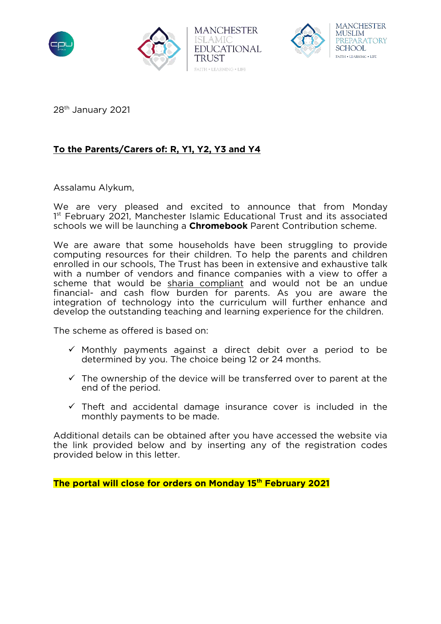





28th January 2021

## **To the Parents/Carers of: R, Y1, Y2, Y3 and Y4**

Assalamu Alykum,

We are very pleased and excited to announce that from Monday 1<sup>st</sup> February 2021, Manchester Islamic Educational Trust and its associated schools we will be launching a **Chromebook** Parent Contribution scheme.

We are aware that some households have been struggling to provide computing resources for their children. To help the parents and children enrolled in our schools, The Trust has been in extensive and exhaustive talk with a number of vendors and finance companies with a view to offer a scheme that would be sharia compliant and would not be an undue financial- and cash flow burden for parents. As you are aware the integration of technology into the curriculum will further enhance and develop the outstanding teaching and learning experience for the children.

The scheme as offered is based on:

- $\checkmark$  Monthly payments against a direct debit over a period to be determined by you. The choice being 12 or 24 months.
- $\checkmark$  The ownership of the device will be transferred over to parent at the end of the period.
- $\checkmark$  Theft and accidental damage insurance cover is included in the monthly payments to be made.

Additional details can be obtained after you have accessed the website via the link provided below and by inserting any of the registration codes provided below in this letter.

**The portal will close for orders on Monday 15th February 2021**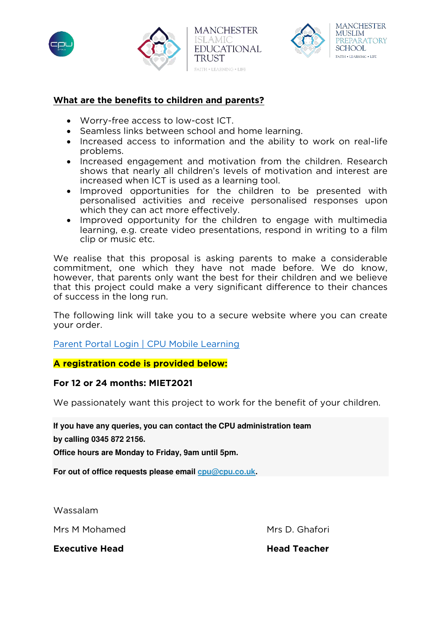





## **What are the benefits to children and parents?**

- Worry-free access to low-cost ICT.
- Seamless links between school and home learning.
- Increased access to information and the ability to work on real-life problems.
- Increased engagement and motivation from the children. Research shows that nearly all children's levels of motivation and interest are increased when ICT is used as a learning tool.
- Improved opportunities for the children to be presented with personalised activities and receive personalised responses upon which they can act more effectively.
- Improved opportunity for the children to engage with multimedia learning, e.g. create video presentations, respond in writing to a film clip or music etc.

We realise that this proposal is asking parents to make a considerable commitment, one which they have not made before. We do know, however, that parents only want the best for their children and we believe that this project could make a very significant difference to their chances of success in the long run.

The following link will take you to a secure website where you can create your order.

[Parent Portal Login | CPU Mobile Learning](https://www.cpu.co.uk/CINT/MobileLearning/selectSchool.asp)

**A registration code is provided below:** 

## **For 12 or 24 months: MIET2021**

We passionately want this project to work for the benefit of your children.

**If you have any queries, you can contact the CPU administration team** 

**by calling 0345 872 2156.** 

**Office hours are Monday to Friday, 9am until 5pm.** 

**For out of office requests please email [cpu@cpu.co.uk.](mailto:cpu@cpu.co.uk?subject=Mobile%20Learning%20Support%20Request.)** 

Wassalam

Mrs M Mohamed Mrs D. Ghafori

**Executive Head Community Community Community Community Community Community Community Community Community Community**